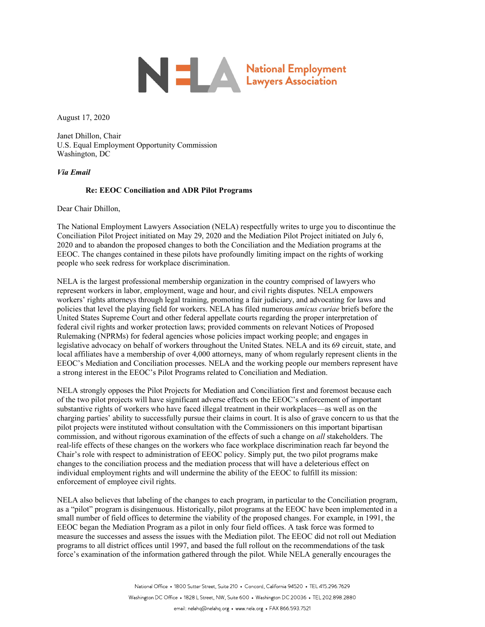

August 17, 2020

Janet Dhillon, Chair U.S. Equal Employment Opportunity Commission Washington, DC

## *Via Email*

## **Re: EEOC Conciliation and ADR Pilot Programs**

Dear Chair Dhillon,

The National Employment Lawyers Association (NELA) respectfully writes to urge you to discontinue the Conciliation Pilot Project initiated on May 29, 2020 and the Mediation Pilot Project initiated on July 6, 2020 and to abandon the proposed changes to both the Conciliation and the Mediation programs at the EEOC. The changes contained in these pilots have profoundly limiting impact on the rights of working people who seek redress for workplace discrimination.

NELA is the largest professional membership organization in the country comprised of lawyers who represent workers in labor, employment, wage and hour, and civil rights disputes. NELA empowers workers' rights attorneys through legal training, promoting a fair judiciary, and advocating for laws and policies that level the playing field for workers. NELA has filed numerous *amicus curiae* briefs before the United States Supreme Court and other federal appellate courts regarding the proper interpretation of federal civil rights and worker protection laws; provided comments on relevant Notices of Proposed Rulemaking (NPRMs) for federal agencies whose policies impact working people; and engages in legislative advocacy on behalf of workers throughout the United States. NELA and its 69 circuit, state, and local affiliates have a membership of over 4,000 attorneys, many of whom regularly represent clients in the EEOC's Mediation and Conciliation processes. NELA and the working people our members represent have a strong interest in the EEOC's Pilot Programs related to Conciliation and Mediation.

NELA strongly opposes the Pilot Projects for Mediation and Conciliation first and foremost because each of the two pilot projects will have significant adverse effects on the EEOC's enforcement of important substantive rights of workers who have faced illegal treatment in their workplaces—as well as on the charging parties' ability to successfully pursue their claims in court. It is also of grave concern to us that the pilot projects were instituted without consultation with the Commissioners on this important bipartisan commission, and without rigorous examination of the effects of such a change on *all* stakeholders. The real-life effects of these changes on the workers who face workplace discrimination reach far beyond the Chair's role with respect to administration of EEOC policy. Simply put, the two pilot programs make changes to the conciliation process and the mediation process that will have a deleterious effect on individual employment rights and will undermine the ability of the EEOC to fulfill its mission: enforcement of employee civil rights.

NELA also believes that labeling of the changes to each program, in particular to the Conciliation program, as a "pilot" program is disingenuous. Historically, pilot programs at the EEOC have been implemented in a small number of field offices to determine the viability of the proposed changes. For example, in 1991, the EEOC began the Mediation Program as a pilot in only four field offices. A task force was formed to measure the successes and assess the issues with the Mediation pilot. The EEOC did not roll out Mediation programs to all district offices until 1997, and based the full rollout on the recommendations of the task force's examination of the information gathered through the pilot. While NELA generally encourages the

> National Office ● 1800 Sutter Street, Suite 210 ● Concord, California 94520 ● TEL 415.296.7629 Washington DC Office • 1828 L Street, NW, Suite 600 • Washington DC 20036 • TEL 202.898.2880 email: nelahq@nelahq.org • www.nela.org • FAX 866.593.7521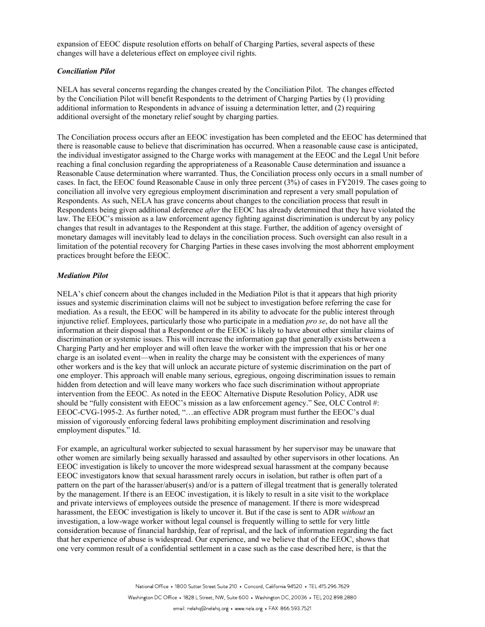expansion of EEOC dispute resolution efforts on behalf of Charging Parties, several aspects of these changes will have a deleterious effect on employee civil rights.

## *Conciliation Pilot*

NELA has several concerns regarding the changes created by the Conciliation Pilot. The changes effected by the Conciliation Pilot will benefit Respondents to the detriment of Charging Parties by (1) providing additional information to Respondents in advance of issuing a determination letter, and (2) requiring additional oversight of the monetary relief sought by charging parties.

The Conciliation process occurs after an EEOC investigation has been completed and the EEOC has determined that there is reasonable cause to believe that discrimination has occurred. When a reasonable cause case is anticipated, the individual investigator assigned to the Charge works with management at the EEOC and the Legal Unit before reaching a final conclusion regarding the appropriateness of a Reasonable Cause determination and issuance a Reasonable Cause determination where warranted. Thus, the Conciliation process only occurs in a small number of cases. In fact, the EEOC found Reasonable Cause in only three percent (3%) of cases in FY2019. The cases going to conciliation all involve very egregious employment discrimination and represent a very small population of Respondents. As such, NELA has grave concerns about changes to the conciliation process that result in Respondents being given additional deference *after* the EEOC has already determined that they have violated the law. The EEOC's mission as a law enforcement agency fighting against discrimination is undercut by any policy changes that result in advantages to the Respondent at this stage. Further, the addition of agency oversight of monetary damages will inevitably lead to delays in the conciliation process. Such oversight can also result in a limitation of the potential recovery for Charging Parties in these cases involving the most abhorrent employment practices brought before the EEOC.

## *Mediation Pilot*

NELA's chief concern about the changes included in the Mediation Pilot is that it appears that high priority issues and systemic discrimination claims will not be subject to investigation before referring the case for mediation. As a result, the EEOC will be hampered in its ability to advocate for the public interest through injunctive relief. Employees, particularly those who participate in a mediation *pro se*, do not have all the information at their disposal that a Respondent or the EEOC is likely to have about other similar claims of discrimination or systemic issues. This will increase the information gap that generally exists between a Charging Party and her employer and will often leave the worker with the impression that his or her one charge is an isolated event—when in reality the charge may be consistent with the experiences of many other workers and is the key that will unlock an accurate picture of systemic discrimination on the part of one employer. This approach will enable many serious, egregious, ongoing discrimination issues to remain hidden from detection and will leave many workers who face such discrimination without appropriate intervention from the EEOC. As noted in the EEOC Alternative Dispute Resolution Policy, ADR use should be "fully consistent with EEOC's mission as a law enforcement agency." See, OLC Control #: EEOC-CVG-1995-2. As further noted, "…an effective ADR program must further the EEOC's dual mission of vigorously enforcing federal laws prohibiting employment discrimination and resolving employment disputes." Id.

For example, an agricultural worker subjected to sexual harassment by her supervisor may be unaware that other women are similarly being sexually harassed and assaulted by other supervisors in other locations. An EEOC investigation is likely to uncover the more widespread sexual harassment at the company because EEOC investigators know that sexual harassment rarely occurs in isolation, but rather is often part of a pattern on the part of the harasser/abuser(s) and/or is a pattern of illegal treatment that is generally tolerated by the management. If there is an EEOC investigation, it is likely to result in a site visit to the workplace and private interviews of employees outside the presence of management. If there is more widespread harassment, the EEOC investigation is likely to uncover it. But if the case is sent to ADR *without* an investigation, a low-wage worker without legal counsel is frequently willing to settle for very little consideration because of financial hardship, fear of reprisal, and the lack of information regarding the fact that her experience of abuse is widespread. Our experience, and we believe that of the EEOC, shows that one very common result of a confidential settlement in a case such as the case described here, is that the

> National Office • 1800 Sutter Street Suite 210 • Concord, California 94520 • TEL 415.296.7629 Washington DC Office • 1828 L Street, NW, Suite 600 • Washington DC, 20036 • TEL 202.898.2880 email: nelahq@nelahq.org • www.nela.org • FAX 866.593.7521